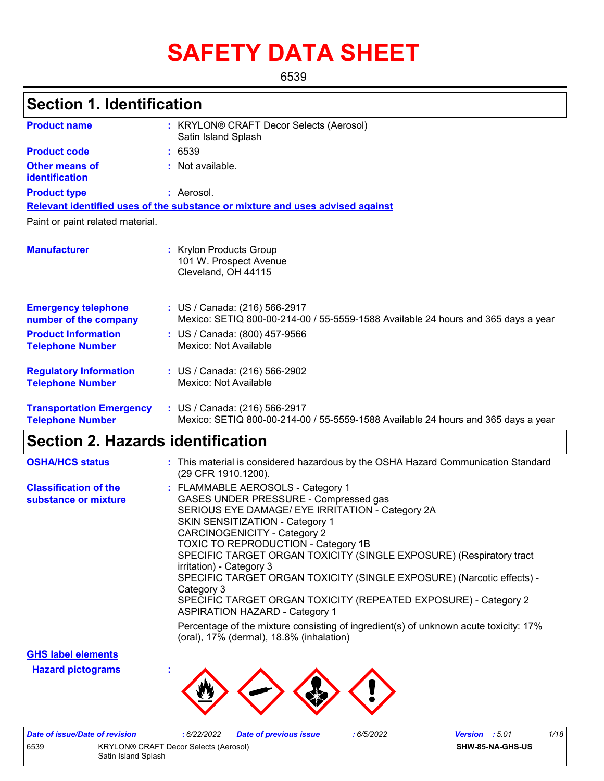# **SAFETY DATA SHEET**

6539

# **Section 1. Identification**

| <b>Product name</b>                                        | : KRYLON® CRAFT Decor Selects (Aerosol)<br>Satin Island Splash                                                     |
|------------------------------------------------------------|--------------------------------------------------------------------------------------------------------------------|
| <b>Product code</b>                                        | : 6539                                                                                                             |
| <b>Other means of</b><br>identification                    | : Not available.                                                                                                   |
| <b>Product type</b>                                        | : Aerosol.                                                                                                         |
|                                                            | Relevant identified uses of the substance or mixture and uses advised against                                      |
| Paint or paint related material.                           |                                                                                                                    |
| <b>Manufacturer</b>                                        | : Krylon Products Group<br>101 W. Prospect Avenue<br>Cleveland, OH 44115                                           |
| <b>Emergency telephone</b><br>number of the company        | : US / Canada: (216) 566-2917<br>Mexico: SETIQ 800-00-214-00 / 55-5559-1588 Available 24 hours and 365 days a year |
| <b>Product Information</b><br><b>Telephone Number</b>      | : US / Canada: (800) 457-9566<br>Mexico: Not Available                                                             |
| <b>Regulatory Information</b><br><b>Telephone Number</b>   | : US / Canada: (216) 566-2902<br>Mexico: Not Available                                                             |
| <b>Transportation Emergency</b><br><b>Telephone Number</b> | : US / Canada: (216) 566-2917<br>Mexico: SETIQ 800-00-214-00 / 55-5559-1588 Available 24 hours and 365 days a year |

### **Section 2. Hazards identification**

| <b>OSHA/HCS status</b>                               | : This material is considered hazardous by the OSHA Hazard Communication Standard<br>(29 CFR 1910.1200).                                                                                                                                                                                                                                                                                                                                                                                                                                                     |
|------------------------------------------------------|--------------------------------------------------------------------------------------------------------------------------------------------------------------------------------------------------------------------------------------------------------------------------------------------------------------------------------------------------------------------------------------------------------------------------------------------------------------------------------------------------------------------------------------------------------------|
| <b>Classification of the</b><br>substance or mixture | : FLAMMABLE AEROSOLS - Category 1<br>GASES UNDER PRESSURE - Compressed gas<br>SERIOUS EYE DAMAGE/ EYE IRRITATION - Category 2A<br><b>SKIN SENSITIZATION - Category 1</b><br><b>CARCINOGENICITY - Category 2</b><br>TOXIC TO REPRODUCTION - Category 1B<br>SPECIFIC TARGET ORGAN TOXICITY (SINGLE EXPOSURE) (Respiratory tract<br>irritation) - Category 3<br>SPECIFIC TARGET ORGAN TOXICITY (SINGLE EXPOSURE) (Narcotic effects) -<br>Category 3<br>SPECIFIC TARGET ORGAN TOXICITY (REPEATED EXPOSURE) - Category 2<br><b>ASPIRATION HAZARD - Category 1</b> |
|                                                      | Percentage of the mixture consisting of ingredient(s) of unknown acute toxicity: 17%<br>(oral), 17% (dermal), 18.8% (inhalation)                                                                                                                                                                                                                                                                                                                                                                                                                             |

**GHS label elements**

**Hazard pictograms :**



|                                               | Date of issue/Date of revision | : 6/22/2022 | Date of previous issue | : 6/5/2022       | <b>Version</b> : 5.01 | 1/18 |
|-----------------------------------------------|--------------------------------|-------------|------------------------|------------------|-----------------------|------|
| 6539<br>KRYLON® CRAFT Decor Selects (Aerosol) |                                |             |                        | SHW-85-NA-GHS-US |                       |      |
| Satin Island Splash                           |                                |             |                        |                  |                       |      |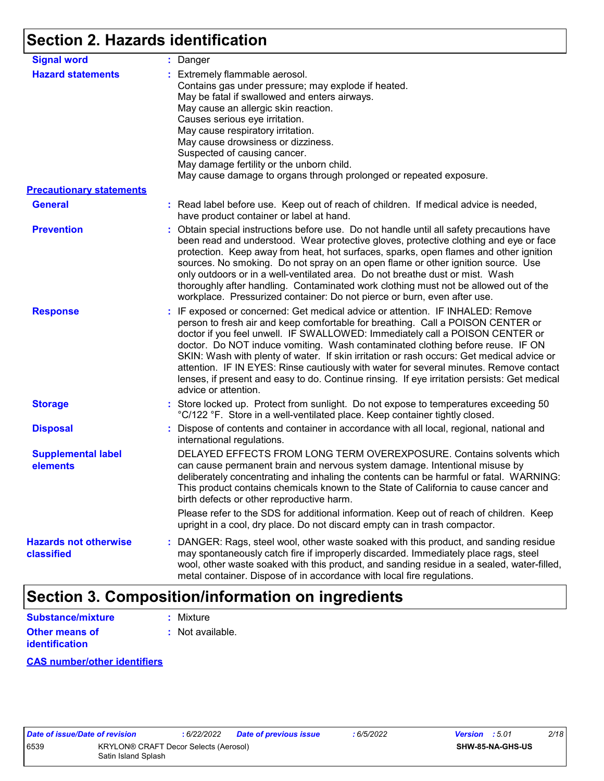# **Section 2. Hazards identification**

| <b>Signal word</b>                                          | : Danger                                                                                                                                                                                                                                                                                                                                                                                                                                                                                                                                                                                                                                           |
|-------------------------------------------------------------|----------------------------------------------------------------------------------------------------------------------------------------------------------------------------------------------------------------------------------------------------------------------------------------------------------------------------------------------------------------------------------------------------------------------------------------------------------------------------------------------------------------------------------------------------------------------------------------------------------------------------------------------------|
| <b>Hazard statements</b><br><b>Precautionary statements</b> | : Extremely flammable aerosol.<br>Contains gas under pressure; may explode if heated.<br>May be fatal if swallowed and enters airways.<br>May cause an allergic skin reaction.<br>Causes serious eye irritation.<br>May cause respiratory irritation.<br>May cause drowsiness or dizziness.<br>Suspected of causing cancer.<br>May damage fertility or the unborn child.<br>May cause damage to organs through prolonged or repeated exposure.                                                                                                                                                                                                     |
|                                                             |                                                                                                                                                                                                                                                                                                                                                                                                                                                                                                                                                                                                                                                    |
| <b>General</b>                                              | : Read label before use. Keep out of reach of children. If medical advice is needed,<br>have product container or label at hand.                                                                                                                                                                                                                                                                                                                                                                                                                                                                                                                   |
| <b>Prevention</b>                                           | : Obtain special instructions before use. Do not handle until all safety precautions have<br>been read and understood. Wear protective gloves, protective clothing and eye or face<br>protection. Keep away from heat, hot surfaces, sparks, open flames and other ignition<br>sources. No smoking. Do not spray on an open flame or other ignition source. Use<br>only outdoors or in a well-ventilated area. Do not breathe dust or mist. Wash<br>thoroughly after handling. Contaminated work clothing must not be allowed out of the<br>workplace. Pressurized container: Do not pierce or burn, even after use.                               |
| <b>Response</b>                                             | : IF exposed or concerned: Get medical advice or attention. IF INHALED: Remove<br>person to fresh air and keep comfortable for breathing. Call a POISON CENTER or<br>doctor if you feel unwell. IF SWALLOWED: Immediately call a POISON CENTER or<br>doctor. Do NOT induce vomiting. Wash contaminated clothing before reuse. IF ON<br>SKIN: Wash with plenty of water. If skin irritation or rash occurs: Get medical advice or<br>attention. IF IN EYES: Rinse cautiously with water for several minutes. Remove contact<br>lenses, if present and easy to do. Continue rinsing. If eye irritation persists: Get medical<br>advice or attention. |
| <b>Storage</b>                                              | : Store locked up. Protect from sunlight. Do not expose to temperatures exceeding 50<br>°C/122 °F. Store in a well-ventilated place. Keep container tightly closed.                                                                                                                                                                                                                                                                                                                                                                                                                                                                                |
| <b>Disposal</b>                                             | : Dispose of contents and container in accordance with all local, regional, national and<br>international regulations.                                                                                                                                                                                                                                                                                                                                                                                                                                                                                                                             |
| <b>Supplemental label</b><br>elements                       | DELAYED EFFECTS FROM LONG TERM OVEREXPOSURE. Contains solvents which<br>can cause permanent brain and nervous system damage. Intentional misuse by<br>deliberately concentrating and inhaling the contents can be harmful or fatal. WARNING:<br>This product contains chemicals known to the State of California to cause cancer and<br>birth defects or other reproductive harm.                                                                                                                                                                                                                                                                  |
|                                                             | Please refer to the SDS for additional information. Keep out of reach of children. Keep<br>upright in a cool, dry place. Do not discard empty can in trash compactor.                                                                                                                                                                                                                                                                                                                                                                                                                                                                              |
| <b>Hazards not otherwise</b><br>classified                  | : DANGER: Rags, steel wool, other waste soaked with this product, and sanding residue<br>may spontaneously catch fire if improperly discarded. Immediately place rags, steel<br>wool, other waste soaked with this product, and sanding residue in a sealed, water-filled,<br>metal container. Dispose of in accordance with local fire regulations.                                                                                                                                                                                                                                                                                               |

# **Section 3. Composition/information on ingredients**

| <b>Substance/mixture</b>                | : Mixture          |
|-----------------------------------------|--------------------|
| Other means of<br><b>identification</b> | $:$ Not available. |

#### **CAS number/other identifiers**

|     |  | ate of issue/Date ( |  |
|-----|--|---------------------|--|
| 539 |  |                     |  |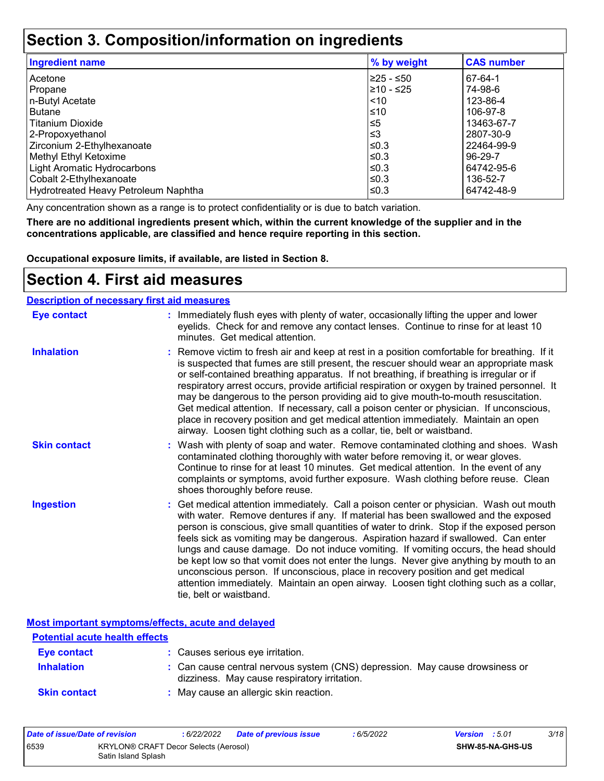### **Section 3. Composition/information on ingredients**

| <b>Ingredient name</b>               | % by weight | <b>CAS number</b> |
|--------------------------------------|-------------|-------------------|
| l Acetone                            | 225 - ≤50   | 67-64-1           |
| Propane                              | 210 - ≤25   | 74-98-6           |
| n-Butyl Acetate                      | $\leq 10$   | 123-86-4          |
| Butane                               | l≤10        | 106-97-8          |
| l Titanium Dioxide                   | 5≥ا         | 13463-67-7        |
| 2-Propoxyethanol                     | ՝≤3         | 2807-30-9         |
| Zirconium 2-Ethylhexanoate           | l≤0.3       | 22464-99-9        |
| Methyl Ethyl Ketoxime                | l≤0.3       | 96-29-7           |
| Light Aromatic Hydrocarbons          | l≤0.3       | 64742-95-6        |
| Cobalt 2-Ethylhexanoate              | l≤0.3       | 136-52-7          |
| Hydrotreated Heavy Petroleum Naphtha | l≤0.3       | 64742-48-9        |

Any concentration shown as a range is to protect confidentiality or is due to batch variation.

**There are no additional ingredients present which, within the current knowledge of the supplier and in the concentrations applicable, are classified and hence require reporting in this section.**

**Occupational exposure limits, if available, are listed in Section 8.**

### **Section 4. First aid measures**

#### **Description of necessary first aid measures**

| <b>Eye contact</b>  | : Immediately flush eyes with plenty of water, occasionally lifting the upper and lower<br>eyelids. Check for and remove any contact lenses. Continue to rinse for at least 10<br>minutes. Get medical attention.                                                                                                                                                                                                                                                                                                                                                                                                                                                                                                                                       |
|---------------------|---------------------------------------------------------------------------------------------------------------------------------------------------------------------------------------------------------------------------------------------------------------------------------------------------------------------------------------------------------------------------------------------------------------------------------------------------------------------------------------------------------------------------------------------------------------------------------------------------------------------------------------------------------------------------------------------------------------------------------------------------------|
| <b>Inhalation</b>   | : Remove victim to fresh air and keep at rest in a position comfortable for breathing. If it<br>is suspected that fumes are still present, the rescuer should wear an appropriate mask<br>or self-contained breathing apparatus. If not breathing, if breathing is irregular or if<br>respiratory arrest occurs, provide artificial respiration or oxygen by trained personnel. It<br>may be dangerous to the person providing aid to give mouth-to-mouth resuscitation.<br>Get medical attention. If necessary, call a poison center or physician. If unconscious,<br>place in recovery position and get medical attention immediately. Maintain an open<br>airway. Loosen tight clothing such as a collar, tie, belt or waistband.                    |
| <b>Skin contact</b> | : Wash with plenty of soap and water. Remove contaminated clothing and shoes. Wash<br>contaminated clothing thoroughly with water before removing it, or wear gloves.<br>Continue to rinse for at least 10 minutes. Get medical attention. In the event of any<br>complaints or symptoms, avoid further exposure. Wash clothing before reuse. Clean<br>shoes thoroughly before reuse.                                                                                                                                                                                                                                                                                                                                                                   |
| <b>Ingestion</b>    | : Get medical attention immediately. Call a poison center or physician. Wash out mouth<br>with water. Remove dentures if any. If material has been swallowed and the exposed<br>person is conscious, give small quantities of water to drink. Stop if the exposed person<br>feels sick as vomiting may be dangerous. Aspiration hazard if swallowed. Can enter<br>lungs and cause damage. Do not induce vomiting. If vomiting occurs, the head should<br>be kept low so that vomit does not enter the lungs. Never give anything by mouth to an<br>unconscious person. If unconscious, place in recovery position and get medical<br>attention immediately. Maintain an open airway. Loosen tight clothing such as a collar,<br>tie, belt or waistband. |

**Most important symptoms/effects, acute and delayed**

| <b>Potential acute health effects</b> |                                                                                                                              |
|---------------------------------------|------------------------------------------------------------------------------------------------------------------------------|
| Eye contact                           | : Causes serious eye irritation.                                                                                             |
| <b>Inhalation</b>                     | : Can cause central nervous system (CNS) depression. May cause drowsiness or<br>dizziness. May cause respiratory irritation. |
| <b>Skin contact</b>                   | : May cause an allergic skin reaction.                                                                                       |

| Date of issue/Date of revision |                                                              | : 6/22/2022 | <b>Date of previous issue</b> | : 6/5/2022 | <b>Version</b> : 5.01 |                  | 3/18 |
|--------------------------------|--------------------------------------------------------------|-------------|-------------------------------|------------|-----------------------|------------------|------|
| 6539                           | KRYLON® CRAFT Decor Selects (Aerosol)<br>Satin Island Splash |             |                               |            |                       | SHW-85-NA-GHS-US |      |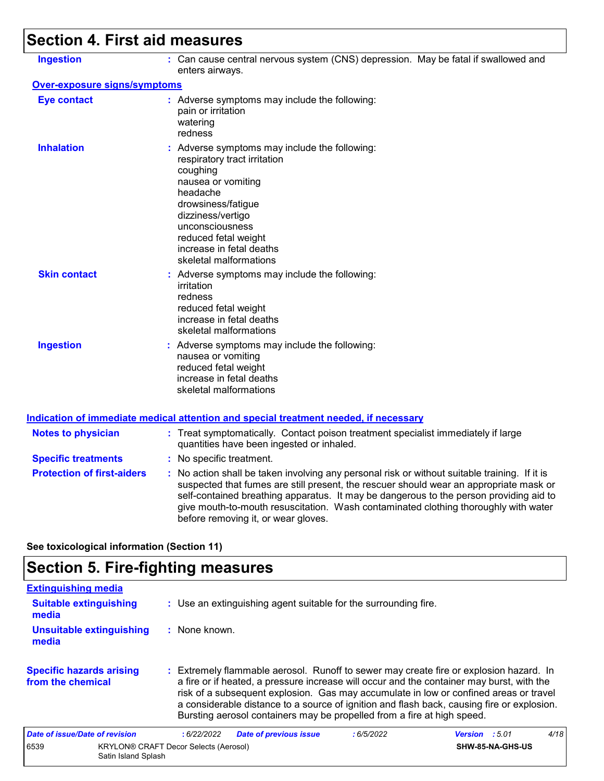# **Section 4. First aid measures**

| <b>Ingestion</b>                    | : Can cause central nervous system (CNS) depression. May be fatal if swallowed and                                                                                                                                                                                                                                                                                                                              |
|-------------------------------------|-----------------------------------------------------------------------------------------------------------------------------------------------------------------------------------------------------------------------------------------------------------------------------------------------------------------------------------------------------------------------------------------------------------------|
|                                     | enters airways.                                                                                                                                                                                                                                                                                                                                                                                                 |
| <b>Over-exposure signs/symptoms</b> |                                                                                                                                                                                                                                                                                                                                                                                                                 |
| <b>Eye contact</b>                  | : Adverse symptoms may include the following:<br>pain or irritation<br>watering<br>redness                                                                                                                                                                                                                                                                                                                      |
| <b>Inhalation</b>                   | : Adverse symptoms may include the following:<br>respiratory tract irritation<br>coughing<br>nausea or vomiting<br>headache<br>drowsiness/fatigue<br>dizziness/vertigo<br>unconsciousness<br>reduced fetal weight<br>increase in fetal deaths<br>skeletal malformations                                                                                                                                         |
| <b>Skin contact</b>                 | : Adverse symptoms may include the following:<br>irritation<br>redness<br>reduced fetal weight<br>increase in fetal deaths<br>skeletal malformations                                                                                                                                                                                                                                                            |
| <b>Ingestion</b>                    | : Adverse symptoms may include the following:<br>nausea or vomiting<br>reduced fetal weight<br>increase in fetal deaths<br>skeletal malformations                                                                                                                                                                                                                                                               |
|                                     | <b>Indication of immediate medical attention and special treatment needed, if necessary</b>                                                                                                                                                                                                                                                                                                                     |
| <b>Notes to physician</b>           | : Treat symptomatically. Contact poison treatment specialist immediately if large<br>quantities have been ingested or inhaled.                                                                                                                                                                                                                                                                                  |
| <b>Specific treatments</b>          | : No specific treatment.                                                                                                                                                                                                                                                                                                                                                                                        |
| <b>Protection of first-aiders</b>   | : No action shall be taken involving any personal risk or without suitable training. If it is<br>suspected that fumes are still present, the rescuer should wear an appropriate mask or<br>self-contained breathing apparatus. It may be dangerous to the person providing aid to<br>give mouth-to-mouth resuscitation. Wash contaminated clothing thoroughly with water<br>before removing it, or wear gloves. |

**See toxicological information (Section 11)**

# **Section 5. Fire-fighting measures**

| <b>Extinguishing media</b>                           |                                                                                                                                                                                                                                                                                                                                                                                                                                                       |                               |
|------------------------------------------------------|-------------------------------------------------------------------------------------------------------------------------------------------------------------------------------------------------------------------------------------------------------------------------------------------------------------------------------------------------------------------------------------------------------------------------------------------------------|-------------------------------|
| <b>Suitable extinguishing</b><br>media               | : Use an extinguishing agent suitable for the surrounding fire.                                                                                                                                                                                                                                                                                                                                                                                       |                               |
| Unsuitable extinguishing<br>media                    | : None known.                                                                                                                                                                                                                                                                                                                                                                                                                                         |                               |
| <b>Specific hazards arising</b><br>from the chemical | : Extremely flammable aerosol. Runoff to sewer may create fire or explosion hazard. In<br>a fire or if heated, a pressure increase will occur and the container may burst, with the<br>risk of a subsequent explosion. Gas may accumulate in low or confined areas or travel<br>a considerable distance to a source of ignition and flash back, causing fire or explosion.<br>Bursting aerosol containers may be propelled from a fire at high speed. |                               |
| Date of issue/Date of revision                       | <b>Date of previous issue</b><br>:6/5/2022<br>:6/22/2022                                                                                                                                                                                                                                                                                                                                                                                              | 4/18<br><b>Version</b> : 5.01 |
| 6539<br>Satin Island Splash                          | <b>KRYLON® CRAFT Decor Selects (Aerosol)</b>                                                                                                                                                                                                                                                                                                                                                                                                          | SHW-85-NA-GHS-US              |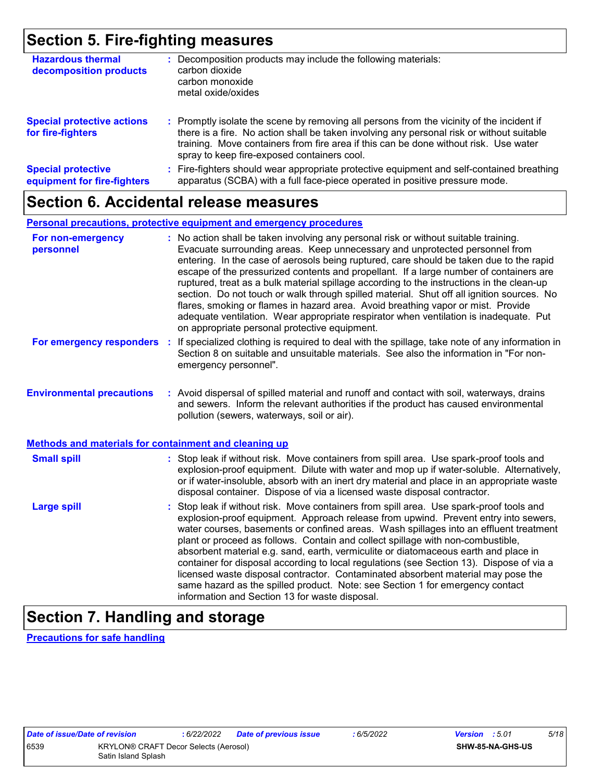### **Section 5. Fire-fighting measures**

| <b>Hazardous thermal</b><br>decomposition products       | Decomposition products may include the following materials:<br>carbon dioxide<br>carbon monoxide<br>metal oxide/oxides                                                                                                                                                                                                        |
|----------------------------------------------------------|-------------------------------------------------------------------------------------------------------------------------------------------------------------------------------------------------------------------------------------------------------------------------------------------------------------------------------|
| <b>Special protective actions</b><br>for fire-fighters   | : Promptly isolate the scene by removing all persons from the vicinity of the incident if<br>there is a fire. No action shall be taken involving any personal risk or without suitable<br>training. Move containers from fire area if this can be done without risk. Use water<br>spray to keep fire-exposed containers cool. |
| <b>Special protective</b><br>equipment for fire-fighters | Fire-fighters should wear appropriate protective equipment and self-contained breathing<br>apparatus (SCBA) with a full face-piece operated in positive pressure mode.                                                                                                                                                        |

### **Section 6. Accidental release measures**

#### **Personal precautions, protective equipment and emergency procedures**

| For non-emergency<br>personnel                               | : No action shall be taken involving any personal risk or without suitable training.<br>Evacuate surrounding areas. Keep unnecessary and unprotected personnel from<br>entering. In the case of aerosols being ruptured, care should be taken due to the rapid<br>escape of the pressurized contents and propellant. If a large number of containers are<br>ruptured, treat as a bulk material spillage according to the instructions in the clean-up<br>section. Do not touch or walk through spilled material. Shut off all ignition sources. No<br>flares, smoking or flames in hazard area. Avoid breathing vapor or mist. Provide<br>adequate ventilation. Wear appropriate respirator when ventilation is inadequate. Put<br>on appropriate personal protective equipment. |  |
|--------------------------------------------------------------|----------------------------------------------------------------------------------------------------------------------------------------------------------------------------------------------------------------------------------------------------------------------------------------------------------------------------------------------------------------------------------------------------------------------------------------------------------------------------------------------------------------------------------------------------------------------------------------------------------------------------------------------------------------------------------------------------------------------------------------------------------------------------------|--|
| For emergency responders                                     | : If specialized clothing is required to deal with the spillage, take note of any information in<br>Section 8 on suitable and unsuitable materials. See also the information in "For non-<br>emergency personnel".                                                                                                                                                                                                                                                                                                                                                                                                                                                                                                                                                               |  |
| <b>Environmental precautions</b>                             | : Avoid dispersal of spilled material and runoff and contact with soil, waterways, drains<br>and sewers. Inform the relevant authorities if the product has caused environmental<br>pollution (sewers, waterways, soil or air).                                                                                                                                                                                                                                                                                                                                                                                                                                                                                                                                                  |  |
| <b>Methods and materials for containment and cleaning up</b> |                                                                                                                                                                                                                                                                                                                                                                                                                                                                                                                                                                                                                                                                                                                                                                                  |  |
| <b>Small spill</b>                                           | : Stop leak if without risk. Move containers from spill area. Use spark-proof tools and<br>explosion-proof equipment. Dilute with water and mop up if water-soluble. Alternatively,<br>or if water-insoluble, absorb with an inert dry material and place in an appropriate waste<br>disposal container. Dispose of via a licensed waste disposal contractor.                                                                                                                                                                                                                                                                                                                                                                                                                    |  |
| <b>Large spill</b>                                           | : Stop leak if without risk. Move containers from spill area. Use spark-proof tools and<br>explosion-proof equipment. Approach release from upwind. Prevent entry into sewers,<br>water courses, basements or confined areas. Wash spillages into an effluent treatment<br>plant or proceed as follows. Contain and collect spillage with non-combustible,<br>absorbent material e.g. sand, earth, vermiculite or diatomaceous earth and place in<br>container for disposal according to local regulations (see Section 13). Dispose of via a<br>licensed waste disposal contractor. Contaminated absorbent material may pose the<br>same hazard as the spilled product. Note: see Section 1 for emergency contact<br>information and Section 13 for waste disposal.             |  |

# **Section 7. Handling and storage**

**Precautions for safe handling**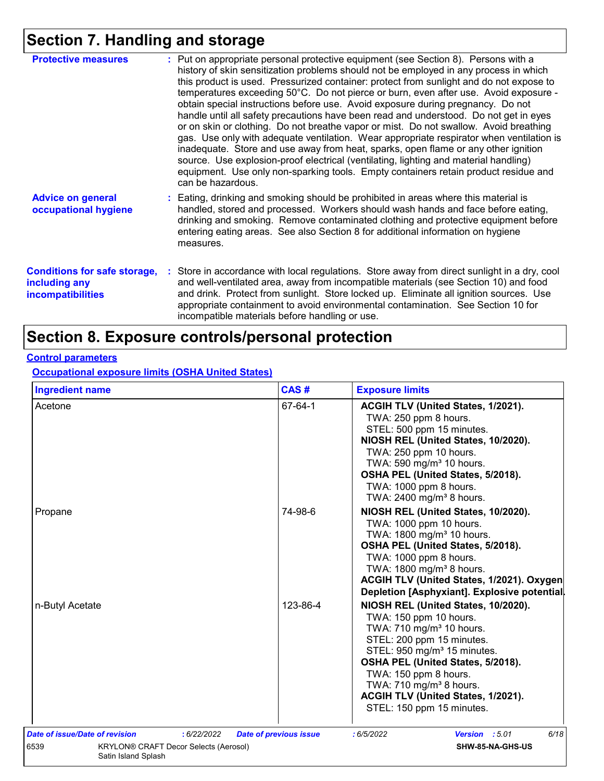# **Section 7. Handling and storage**

| <b>Protective measures</b>                                                       | : Put on appropriate personal protective equipment (see Section 8). Persons with a<br>history of skin sensitization problems should not be employed in any process in which<br>this product is used. Pressurized container: protect from sunlight and do not expose to<br>temperatures exceeding 50°C. Do not pierce or burn, even after use. Avoid exposure -<br>obtain special instructions before use. Avoid exposure during pregnancy. Do not<br>handle until all safety precautions have been read and understood. Do not get in eyes<br>or on skin or clothing. Do not breathe vapor or mist. Do not swallow. Avoid breathing<br>gas. Use only with adequate ventilation. Wear appropriate respirator when ventilation is<br>inadequate. Store and use away from heat, sparks, open flame or any other ignition<br>source. Use explosion-proof electrical (ventilating, lighting and material handling)<br>equipment. Use only non-sparking tools. Empty containers retain product residue and<br>can be hazardous. |
|----------------------------------------------------------------------------------|---------------------------------------------------------------------------------------------------------------------------------------------------------------------------------------------------------------------------------------------------------------------------------------------------------------------------------------------------------------------------------------------------------------------------------------------------------------------------------------------------------------------------------------------------------------------------------------------------------------------------------------------------------------------------------------------------------------------------------------------------------------------------------------------------------------------------------------------------------------------------------------------------------------------------------------------------------------------------------------------------------------------------|
| <b>Advice on general</b><br>occupational hygiene                                 | : Eating, drinking and smoking should be prohibited in areas where this material is<br>handled, stored and processed. Workers should wash hands and face before eating,<br>drinking and smoking. Remove contaminated clothing and protective equipment before<br>entering eating areas. See also Section 8 for additional information on hygiene<br>measures.                                                                                                                                                                                                                                                                                                                                                                                                                                                                                                                                                                                                                                                             |
| <b>Conditions for safe storage,</b><br>including any<br><b>incompatibilities</b> | : Store in accordance with local regulations. Store away from direct sunlight in a dry, cool<br>and well-ventilated area, away from incompatible materials (see Section 10) and food<br>and drink. Protect from sunlight. Store locked up. Eliminate all ignition sources. Use<br>appropriate containment to avoid environmental contamination. See Section 10 for<br>incompatible materials before handling or use.                                                                                                                                                                                                                                                                                                                                                                                                                                                                                                                                                                                                      |

## **Section 8. Exposure controls/personal protection**

#### **Control parameters**

**Occupational exposure limits (OSHA United States)**

| <b>Ingredient name</b>         |                                              | CAS#                          | <b>Exposure limits</b>                                                                                                                                                                                                                                                                                                                                |
|--------------------------------|----------------------------------------------|-------------------------------|-------------------------------------------------------------------------------------------------------------------------------------------------------------------------------------------------------------------------------------------------------------------------------------------------------------------------------------------------------|
| Acetone                        |                                              | 67-64-1                       | ACGIH TLV (United States, 1/2021).<br>TWA: 250 ppm 8 hours.<br>STEL: 500 ppm 15 minutes.<br>NIOSH REL (United States, 10/2020).<br>TWA: 250 ppm 10 hours.<br>TWA: 590 mg/m <sup>3</sup> 10 hours.<br>OSHA PEL (United States, 5/2018).<br>TWA: 1000 ppm 8 hours.<br>TWA: 2400 mg/m <sup>3</sup> 8 hours.                                              |
| Propane                        |                                              | 74-98-6                       | NIOSH REL (United States, 10/2020).<br>TWA: 1000 ppm 10 hours.<br>TWA: 1800 mg/m <sup>3</sup> 10 hours.<br>OSHA PEL (United States, 5/2018).<br>TWA: 1000 ppm 8 hours.<br>TWA: 1800 mg/m <sup>3</sup> 8 hours.<br>ACGIH TLV (United States, 1/2021). Oxygen<br>Depletion [Asphyxiant]. Explosive potential                                            |
| n-Butyl Acetate                |                                              | 123-86-4                      | NIOSH REL (United States, 10/2020).<br>TWA: 150 ppm 10 hours.<br>TWA: 710 mg/m <sup>3</sup> 10 hours.<br>STEL: 200 ppm 15 minutes.<br>STEL: 950 mg/m <sup>3</sup> 15 minutes.<br>OSHA PEL (United States, 5/2018).<br>TWA: 150 ppm 8 hours.<br>TWA: 710 mg/m <sup>3</sup> 8 hours.<br>ACGIH TLV (United States, 1/2021).<br>STEL: 150 ppm 15 minutes. |
| Date of issue/Date of revision | : 6/22/2022                                  | <b>Date of previous issue</b> | 6/18<br>:6/5/2022<br>Version : 5.01                                                                                                                                                                                                                                                                                                                   |
| 6539<br>Satin Island Splash    | <b>KRYLON® CRAFT Decor Selects (Aerosol)</b> |                               | SHW-85-NA-GHS-US                                                                                                                                                                                                                                                                                                                                      |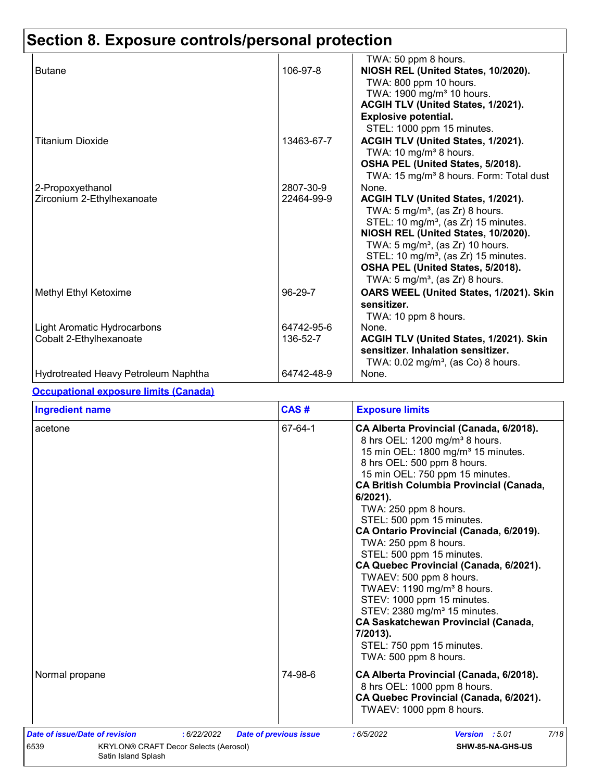# **Section 8. Exposure controls/personal protection**

|                                      |            | TWA: 50 ppm 8 hours.                                |
|--------------------------------------|------------|-----------------------------------------------------|
| <b>Butane</b>                        | 106-97-8   | NIOSH REL (United States, 10/2020).                 |
|                                      |            | TWA: 800 ppm 10 hours.                              |
|                                      |            | TWA: 1900 mg/m <sup>3</sup> 10 hours.               |
|                                      |            | ACGIH TLV (United States, 1/2021).                  |
|                                      |            | <b>Explosive potential.</b>                         |
|                                      |            | STEL: 1000 ppm 15 minutes.                          |
| Titanium Dioxide                     | 13463-67-7 | ACGIH TLV (United States, 1/2021).                  |
|                                      |            | TWA: 10 mg/m <sup>3</sup> 8 hours.                  |
|                                      |            | OSHA PEL (United States, 5/2018).                   |
|                                      |            | TWA: 15 mg/m <sup>3</sup> 8 hours. Form: Total dust |
| 2-Propoxyethanol                     | 2807-30-9  | None.                                               |
| Zirconium 2-Ethylhexanoate           | 22464-99-9 | ACGIH TLV (United States, 1/2021).                  |
|                                      |            | TWA: $5 \text{ mg/m}^3$ , (as Zr) 8 hours.          |
|                                      |            | STEL: 10 mg/m <sup>3</sup> , (as Zr) 15 minutes.    |
|                                      |            | NIOSH REL (United States, 10/2020).                 |
|                                      |            | TWA: $5 \text{ mg/m}^3$ , (as Zr) 10 hours.         |
|                                      |            | STEL: 10 mg/m <sup>3</sup> , (as Zr) 15 minutes.    |
|                                      |            | OSHA PEL (United States, 5/2018).                   |
|                                      |            | TWA: $5 \text{ mg/m}^3$ , (as Zr) 8 hours.          |
| Methyl Ethyl Ketoxime                | 96-29-7    | OARS WEEL (United States, 1/2021). Skin             |
|                                      |            | sensitizer.                                         |
|                                      |            | TWA: 10 ppm 8 hours.                                |
| Light Aromatic Hydrocarbons          | 64742-95-6 | None.                                               |
| Cobalt 2-Ethylhexanoate              | 136-52-7   | ACGIH TLV (United States, 1/2021). Skin             |
|                                      |            | sensitizer. Inhalation sensitizer.                  |
|                                      |            | TWA: $0.02 \text{ mg/m}^3$ , (as Co) 8 hours.       |
| Hydrotreated Heavy Petroleum Naphtha | 64742-48-9 | None.                                               |

#### **Occupational exposure limits (Canada)**

| <b>Ingredient name</b>                                                                                | CAS#                          | <b>Exposure limits</b>                                                                                                                                                                                                                                                                                                                                                                                                                                                                                                                                                                                                                                                                                                                     |
|-------------------------------------------------------------------------------------------------------|-------------------------------|--------------------------------------------------------------------------------------------------------------------------------------------------------------------------------------------------------------------------------------------------------------------------------------------------------------------------------------------------------------------------------------------------------------------------------------------------------------------------------------------------------------------------------------------------------------------------------------------------------------------------------------------------------------------------------------------------------------------------------------------|
| acetone                                                                                               | 67-64-1                       | CA Alberta Provincial (Canada, 6/2018).<br>8 hrs OEL: 1200 mg/m <sup>3</sup> 8 hours.<br>15 min OEL: 1800 mg/m <sup>3</sup> 15 minutes.<br>8 hrs OEL: 500 ppm 8 hours.<br>15 min OEL: 750 ppm 15 minutes.<br><b>CA British Columbia Provincial (Canada,</b><br>$6/2021$ ).<br>TWA: 250 ppm 8 hours.<br>STEL: 500 ppm 15 minutes.<br>CA Ontario Provincial (Canada, 6/2019).<br>TWA: 250 ppm 8 hours.<br>STEL: 500 ppm 15 minutes.<br>CA Quebec Provincial (Canada, 6/2021).<br>TWAEV: 500 ppm 8 hours.<br>TWAEV: 1190 mg/m <sup>3</sup> 8 hours.<br>STEV: 1000 ppm 15 minutes.<br>STEV: 2380 mg/m <sup>3</sup> 15 minutes.<br><b>CA Saskatchewan Provincial (Canada,</b><br>7/2013).<br>STEL: 750 ppm 15 minutes.<br>TWA: 500 ppm 8 hours. |
| Normal propane                                                                                        | 74-98-6                       | CA Alberta Provincial (Canada, 6/2018).<br>8 hrs OEL: 1000 ppm 8 hours.<br>CA Quebec Provincial (Canada, 6/2021).<br>TWAEV: 1000 ppm 8 hours.                                                                                                                                                                                                                                                                                                                                                                                                                                                                                                                                                                                              |
| Date of issue/Date of revision<br>: 6/22/2022<br>6539<br><b>KRYLON® CRAFT Decor Selects (Aerosol)</b> | <b>Date of previous issue</b> | 7/18<br>Version : 5.01<br>:6/5/2022<br>SHW-85-NA-GHS-US                                                                                                                                                                                                                                                                                                                                                                                                                                                                                                                                                                                                                                                                                    |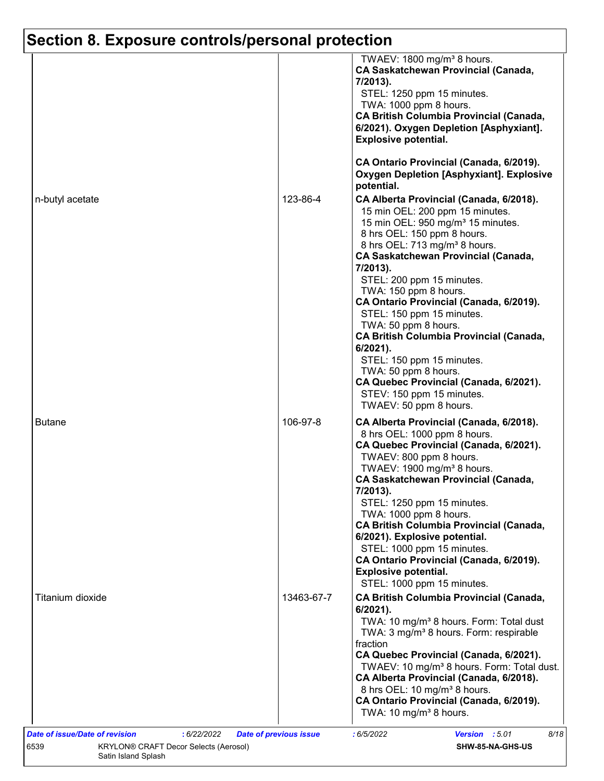# **Section 8. Exposure controls/personal protection**

|                  |            | TWAEV: 1800 mg/m <sup>3</sup> 8 hours.<br><b>CA Saskatchewan Provincial (Canada,</b><br>7/2013).<br>STEL: 1250 ppm 15 minutes.<br>TWA: 1000 ppm 8 hours.<br><b>CA British Columbia Provincial (Canada,</b><br>6/2021). Oxygen Depletion [Asphyxiant].<br><b>Explosive potential.</b>                                                                                                            |
|------------------|------------|-------------------------------------------------------------------------------------------------------------------------------------------------------------------------------------------------------------------------------------------------------------------------------------------------------------------------------------------------------------------------------------------------|
|                  |            | CA Ontario Provincial (Canada, 6/2019).<br><b>Oxygen Depletion [Asphyxiant]. Explosive</b><br>potential.                                                                                                                                                                                                                                                                                        |
| n-butyl acetate  | 123-86-4   | CA Alberta Provincial (Canada, 6/2018).<br>15 min OEL: 200 ppm 15 minutes.<br>15 min OEL: 950 mg/m <sup>3</sup> 15 minutes.<br>8 hrs OEL: 150 ppm 8 hours.<br>8 hrs OEL: 713 mg/m <sup>3</sup> 8 hours.<br><b>CA Saskatchewan Provincial (Canada,</b><br>7/2013).<br>STEL: 200 ppm 15 minutes.<br>TWA: 150 ppm 8 hours.<br>CA Ontario Provincial (Canada, 6/2019).<br>STEL: 150 ppm 15 minutes. |
|                  |            | TWA: 50 ppm 8 hours.<br>CA British Columbia Provincial (Canada,<br>6/2021).<br>STEL: 150 ppm 15 minutes.<br>TWA: 50 ppm 8 hours.<br>CA Quebec Provincial (Canada, 6/2021).<br>STEV: 150 ppm 15 minutes.<br>TWAEV: 50 ppm 8 hours.                                                                                                                                                               |
| <b>Butane</b>    | 106-97-8   | CA Alberta Provincial (Canada, 6/2018).<br>8 hrs OEL: 1000 ppm 8 hours.<br>CA Quebec Provincial (Canada, 6/2021).<br>TWAEV: 800 ppm 8 hours.<br>TWAEV: 1900 mg/m <sup>3</sup> 8 hours.<br><b>CA Saskatchewan Provincial (Canada,</b><br>7/2013).<br>STEL: 1250 ppm 15 minutes.<br>TWA: 1000 ppm 8 hours.<br><b>CA British Columbia Provincial (Canada,</b><br>6/2021). Explosive potential.     |
|                  |            | STEL: 1000 ppm 15 minutes.<br>CA Ontario Provincial (Canada, 6/2019).<br><b>Explosive potential.</b><br>STEL: 1000 ppm 15 minutes.                                                                                                                                                                                                                                                              |
| Titanium dioxide | 13463-67-7 | <b>CA British Columbia Provincial (Canada,</b><br>6/2021).<br>TWA: 10 mg/m <sup>3</sup> 8 hours. Form: Total dust<br>TWA: 3 mg/m <sup>3</sup> 8 hours. Form: respirable<br>fraction<br>CA Quebec Provincial (Canada, 6/2021).                                                                                                                                                                   |
|                  |            | TWAEV: 10 mg/m <sup>3</sup> 8 hours. Form: Total dust.<br>CA Alberta Provincial (Canada, 6/2018).<br>8 hrs OEL: 10 mg/m <sup>3</sup> 8 hours.<br>CA Ontario Provincial (Canada, 6/2019).                                                                                                                                                                                                        |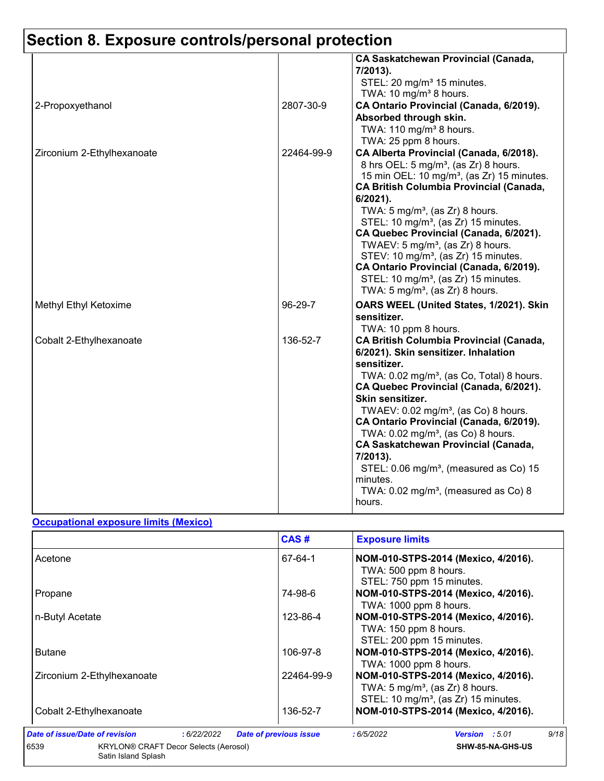# **Section 8. Exposure controls/personal protection**

|                            |            | <b>CA Saskatchewan Provincial (Canada,</b><br>7/2013).<br>STEL: 20 mg/m <sup>3</sup> 15 minutes.<br>TWA: 10 mg/m <sup>3</sup> 8 hours.                                                                                                                                                                                                                                                                                                                                                                                                                                                                            |
|----------------------------|------------|-------------------------------------------------------------------------------------------------------------------------------------------------------------------------------------------------------------------------------------------------------------------------------------------------------------------------------------------------------------------------------------------------------------------------------------------------------------------------------------------------------------------------------------------------------------------------------------------------------------------|
| 2-Propoxyethanol           | 2807-30-9  | CA Ontario Provincial (Canada, 6/2019).<br>Absorbed through skin.<br>TWA: 110 mg/m <sup>3</sup> 8 hours.<br>TWA: 25 ppm 8 hours.                                                                                                                                                                                                                                                                                                                                                                                                                                                                                  |
| Zirconium 2-Ethylhexanoate | 22464-99-9 | CA Alberta Provincial (Canada, 6/2018).<br>8 hrs OEL: 5 mg/m <sup>3</sup> , (as Zr) 8 hours.<br>15 min OEL: 10 mg/m <sup>3</sup> , (as Zr) 15 minutes.<br><b>CA British Columbia Provincial (Canada,</b><br>6/2021).<br>TWA: $5 \text{ mg/m}^3$ , (as Zr) 8 hours.<br>STEL: 10 mg/m <sup>3</sup> , (as Zr) 15 minutes.<br>CA Quebec Provincial (Canada, 6/2021).<br>TWAEV: $5 \text{ mg/m}^3$ , (as Zr) 8 hours.<br>STEV: 10 mg/m <sup>3</sup> , (as Zr) 15 minutes.<br>CA Ontario Provincial (Canada, 6/2019).<br>STEL: 10 mg/m <sup>3</sup> , (as Zr) 15 minutes.<br>TWA: $5 \text{ mg/m}^3$ , (as Zr) 8 hours. |
| Methyl Ethyl Ketoxime      | 96-29-7    | OARS WEEL (United States, 1/2021). Skin<br>sensitizer.<br>TWA: 10 ppm 8 hours.                                                                                                                                                                                                                                                                                                                                                                                                                                                                                                                                    |
| Cobalt 2-Ethylhexanoate    | 136-52-7   | <b>CA British Columbia Provincial (Canada,</b><br>6/2021). Skin sensitizer. Inhalation<br>sensitizer.<br>TWA: 0.02 mg/m <sup>3</sup> , (as Co, Total) 8 hours.<br>CA Quebec Provincial (Canada, 6/2021).<br>Skin sensitizer.<br>TWAEV: $0.02$ mg/m <sup>3</sup> , (as Co) 8 hours.<br>CA Ontario Provincial (Canada, 6/2019).<br>TWA: 0.02 mg/m <sup>3</sup> , (as Co) 8 hours.<br><b>CA Saskatchewan Provincial (Canada,</b><br>7/2013).<br>STEL: 0.06 mg/m <sup>3</sup> , (measured as Co) 15<br>minutes.<br>TWA: $0.02$ mg/m <sup>3</sup> , (measured as Co) 8<br>hours.                                       |

#### **Occupational exposure limits (Mexico)**

|                                                                             | CAS#                          | <b>Exposure limits</b>                                                                                                                |
|-----------------------------------------------------------------------------|-------------------------------|---------------------------------------------------------------------------------------------------------------------------------------|
| Acetone                                                                     | 67-64-1                       | NOM-010-STPS-2014 (Mexico, 4/2016).<br>TWA: 500 ppm 8 hours.<br>STEL: 750 ppm 15 minutes.                                             |
| Propane                                                                     | 74-98-6                       | NOM-010-STPS-2014 (Mexico, 4/2016).<br>TWA: 1000 ppm 8 hours.                                                                         |
| n-Butyl Acetate                                                             | 123-86-4                      | NOM-010-STPS-2014 (Mexico, 4/2016).<br>TWA: 150 ppm 8 hours.<br>STEL: 200 ppm 15 minutes.                                             |
| <b>Butane</b>                                                               | 106-97-8                      | NOM-010-STPS-2014 (Mexico, 4/2016).<br>TWA: 1000 ppm 8 hours.                                                                         |
| 22464-99-9<br>Zirconium 2-Ethylhexanoate                                    |                               | NOM-010-STPS-2014 (Mexico, 4/2016).<br>TWA: $5 \text{ mg/m}^3$ , (as Zr) 8 hours.<br>STEL: 10 mg/m <sup>3</sup> , (as Zr) 15 minutes. |
| Cobalt 2-Ethylhexanoate                                                     | 136-52-7                      | NOM-010-STPS-2014 (Mexico, 4/2016).                                                                                                   |
| Date of issue/Date of revision<br>:6/22/2022                                | <b>Date of previous issue</b> | 9/18<br>:6/5/2022<br>Version : 5.01                                                                                                   |
| 6539<br><b>KRYLON® CRAFT Decor Selects (Aerosol)</b><br>Satin Island Splash |                               | SHW-85-NA-GHS-US                                                                                                                      |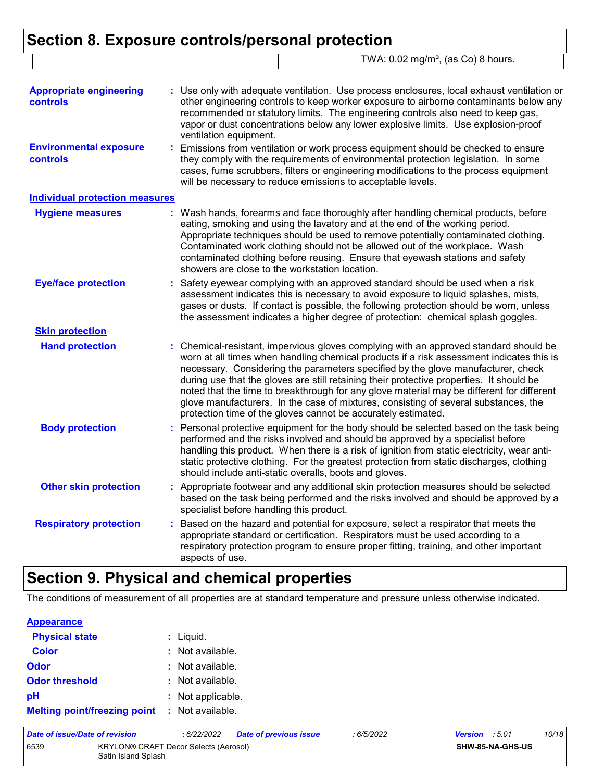### **Section 8. Exposure controls/personal protection** TWA: 0.02 mg/m<sup>3</sup>, (as Co) 8 hours.

| <b>Appropriate engineering</b>            |    | : Use only with adequate ventilation. Use process enclosures, local exhaust ventilation or                                                                                                                                                                                                                                                                                                                                                                                                                                                                                                                             |
|-------------------------------------------|----|------------------------------------------------------------------------------------------------------------------------------------------------------------------------------------------------------------------------------------------------------------------------------------------------------------------------------------------------------------------------------------------------------------------------------------------------------------------------------------------------------------------------------------------------------------------------------------------------------------------------|
| controls                                  |    | other engineering controls to keep worker exposure to airborne contaminants below any<br>recommended or statutory limits. The engineering controls also need to keep gas,<br>vapor or dust concentrations below any lower explosive limits. Use explosion-proof<br>ventilation equipment.                                                                                                                                                                                                                                                                                                                              |
| <b>Environmental exposure</b><br>controls |    | : Emissions from ventilation or work process equipment should be checked to ensure<br>they comply with the requirements of environmental protection legislation. In some<br>cases, fume scrubbers, filters or engineering modifications to the process equipment<br>will be necessary to reduce emissions to acceptable levels.                                                                                                                                                                                                                                                                                        |
| <b>Individual protection measures</b>     |    |                                                                                                                                                                                                                                                                                                                                                                                                                                                                                                                                                                                                                        |
| <b>Hygiene measures</b>                   |    | : Wash hands, forearms and face thoroughly after handling chemical products, before<br>eating, smoking and using the lavatory and at the end of the working period.<br>Appropriate techniques should be used to remove potentially contaminated clothing.<br>Contaminated work clothing should not be allowed out of the workplace. Wash<br>contaminated clothing before reusing. Ensure that eyewash stations and safety<br>showers are close to the workstation location.                                                                                                                                            |
| <b>Eye/face protection</b>                | ř. | Safety eyewear complying with an approved standard should be used when a risk<br>assessment indicates this is necessary to avoid exposure to liquid splashes, mists,<br>gases or dusts. If contact is possible, the following protection should be worn, unless<br>the assessment indicates a higher degree of protection: chemical splash goggles.                                                                                                                                                                                                                                                                    |
| <b>Skin protection</b>                    |    |                                                                                                                                                                                                                                                                                                                                                                                                                                                                                                                                                                                                                        |
| <b>Hand protection</b>                    |    | : Chemical-resistant, impervious gloves complying with an approved standard should be<br>worn at all times when handling chemical products if a risk assessment indicates this is<br>necessary. Considering the parameters specified by the glove manufacturer, check<br>during use that the gloves are still retaining their protective properties. It should be<br>noted that the time to breakthrough for any glove material may be different for different<br>glove manufacturers. In the case of mixtures, consisting of several substances, the<br>protection time of the gloves cannot be accurately estimated. |
| <b>Body protection</b>                    |    | : Personal protective equipment for the body should be selected based on the task being<br>performed and the risks involved and should be approved by a specialist before<br>handling this product. When there is a risk of ignition from static electricity, wear anti-<br>static protective clothing. For the greatest protection from static discharges, clothing<br>should include anti-static overalls, boots and gloves.                                                                                                                                                                                         |
| <b>Other skin protection</b>              |    | : Appropriate footwear and any additional skin protection measures should be selected<br>based on the task being performed and the risks involved and should be approved by a<br>specialist before handling this product.                                                                                                                                                                                                                                                                                                                                                                                              |
| <b>Respiratory protection</b>             |    | Based on the hazard and potential for exposure, select a respirator that meets the<br>appropriate standard or certification. Respirators must be used according to a<br>respiratory protection program to ensure proper fitting, training, and other important<br>aspects of use.                                                                                                                                                                                                                                                                                                                                      |

# **Section 9. Physical and chemical properties**

The conditions of measurement of all properties are at standard temperature and pressure unless otherwise indicated.

| <b>Appearance</b>                   |                   |
|-------------------------------------|-------------------|
| <b>Physical state</b>               | $:$ Liquid.       |
| <b>Color</b>                        | : Not available.  |
| Odor                                | : Not available.  |
| <b>Odor threshold</b>               | : Not available.  |
| pH                                  | : Not applicable. |
| <b>Melting point/freezing point</b> | : Not available.  |

| Date of issue/Date of revision                                              |  | : 6/22/2022 | <b>Date of previous issue</b> | : 6/5/2022 | <b>Version</b> : 5.01   |  | 10/18 |
|-----------------------------------------------------------------------------|--|-------------|-------------------------------|------------|-------------------------|--|-------|
| 6539<br><b>KRYLON® CRAFT Decor Selects (Aerosol)</b><br>Satin Island Splash |  |             |                               |            | <b>SHW-85-NA-GHS-US</b> |  |       |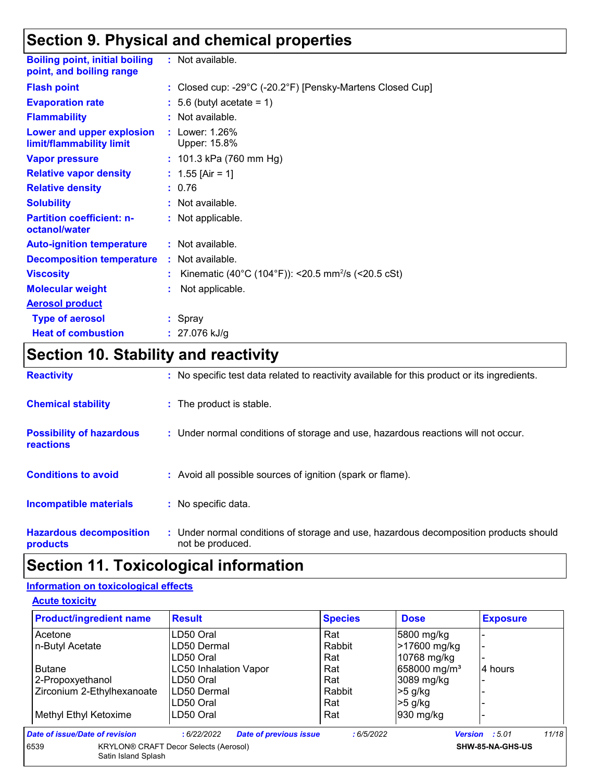## **Section 9. Physical and chemical properties**

| <b>Boiling point, initial boiling</b><br>point, and boiling range | : Not available.                                                                |
|-------------------------------------------------------------------|---------------------------------------------------------------------------------|
| <b>Flash point</b>                                                | : Closed cup: -29 $^{\circ}$ C (-20.2 $^{\circ}$ F) [Pensky-Martens Closed Cup] |
| <b>Evaporation rate</b>                                           | $: 5.6$ (butyl acetate = 1)                                                     |
| <b>Flammability</b>                                               | $:$ Not available.                                                              |
| Lower and upper explosion<br>limit/flammability limit             | : Lower: 1.26%<br>Upper: 15.8%                                                  |
| <b>Vapor pressure</b>                                             | : 101.3 kPa (760 mm Hg)                                                         |
| <b>Relative vapor density</b>                                     | : $1.55$ [Air = 1]                                                              |
| <b>Relative density</b>                                           | : 0.76                                                                          |
| <b>Solubility</b>                                                 | : Not available.                                                                |
| <b>Partition coefficient: n-</b><br>octanol/water                 | : Not applicable.                                                               |
| <b>Auto-ignition temperature</b>                                  | $:$ Not available.                                                              |
| <b>Decomposition temperature</b>                                  | : Not available.                                                                |
| <b>Viscosity</b>                                                  | Kinematic (40°C (104°F)): <20.5 mm <sup>2</sup> /s (<20.5 cSt)                  |
| <b>Molecular weight</b>                                           | Not applicable.                                                                 |
| <b>Aerosol product</b>                                            |                                                                                 |
| <b>Type of aerosol</b>                                            | : Spray                                                                         |
| <b>Heat of combustion</b>                                         | : $27.076$ kJ/g                                                                 |

# **Section 10. Stability and reactivity**

| <b>Reactivity</b>                                   | : No specific test data related to reactivity available for this product or its ingredients.              |
|-----------------------------------------------------|-----------------------------------------------------------------------------------------------------------|
| <b>Chemical stability</b>                           | : The product is stable.                                                                                  |
| <b>Possibility of hazardous</b><br><b>reactions</b> | : Under normal conditions of storage and use, hazardous reactions will not occur.                         |
| <b>Conditions to avoid</b>                          | : Avoid all possible sources of ignition (spark or flame).                                                |
| <b>Incompatible materials</b>                       | : No specific data.                                                                                       |
| <b>Hazardous decomposition</b><br>products          | : Under normal conditions of storage and use, hazardous decomposition products should<br>not be produced. |

## **Section 11. Toxicological information**

#### **Information on toxicological effects**

**Acute toxicity**

| <b>Product/ingredient name</b>                                                                  | <b>Result</b>                               | <b>Species</b> | <b>Dose</b>              | <b>Exposure</b>         |
|-------------------------------------------------------------------------------------------------|---------------------------------------------|----------------|--------------------------|-------------------------|
| Acetone                                                                                         | LD50 Oral                                   | Rat            | 5800 mg/kg               |                         |
| n-Butyl Acetate                                                                                 | LD50 Dermal                                 | Rabbit         | >17600 mg/kg             |                         |
|                                                                                                 | LD50 Oral                                   | Rat            | 10768 mg/kg              |                         |
| <b>Butane</b>                                                                                   | <b>LC50 Inhalation Vapor</b>                | Rat            | 658000 mg/m <sup>3</sup> | 4 hours                 |
| 2-Propoxyethanol                                                                                | LD50 Oral                                   | Rat            | 3089 mg/kg               |                         |
| Zirconium 2-Ethylhexanoate                                                                      | LD50 Dermal                                 | Rabbit         | $>5$ g/kg                |                         |
|                                                                                                 | LD50 Oral                                   | Rat            | $>5$ g/kg                |                         |
| Methyl Ethyl Ketoxime                                                                           | LD50 Oral                                   | Rat            | 930 mg/kg                |                         |
| Date of issue/Date of revision                                                                  | <b>Date of previous issue</b><br>:6/22/2022 | :6/5/2022      |                          | 11/18<br>Version : 5.01 |
| 6539<br><b>KRYLON® CRAFT Decor Selects (Aerosol)</b><br>SHW-85-NA-GHS-US<br>Satin Island Splash |                                             |                |                          |                         |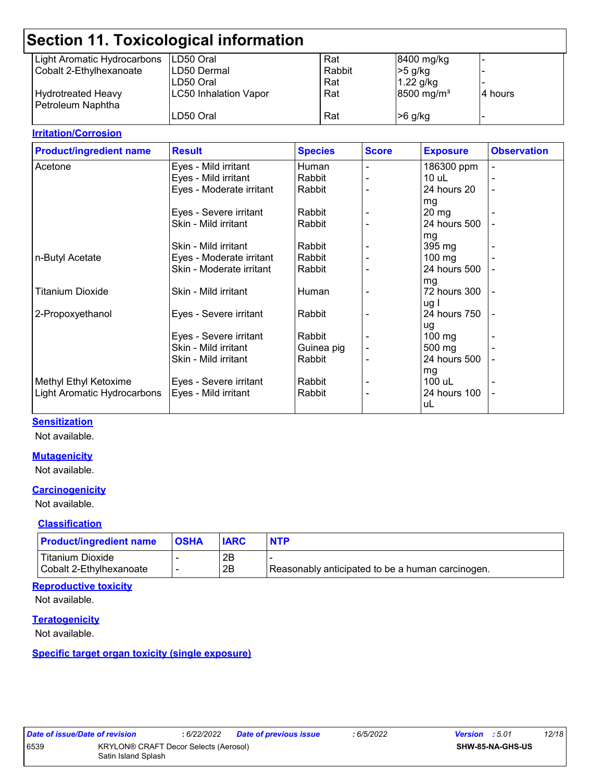|                                                | Section 11. Toxicological information |        |                          |          |
|------------------------------------------------|---------------------------------------|--------|--------------------------|----------|
| Light Aromatic Hydrocarbons                    | ILD50 Oral                            | Rat    | 8400 mg/kg               |          |
| Cobalt 2-Ethylhexanoate                        | LD50 Dermal                           | Rabbit | $>5$ g/kg                |          |
|                                                | LD50 Oral                             | Rat    | $1.22$ g/kg              |          |
| <b>Hydrotreated Heavy</b><br>Petroleum Naphtha | <b>LC50 Inhalation Vapor</b>          | Rat    | $8500$ mg/m <sup>3</sup> | 14 hours |
|                                                | LD50 Oral                             | Rat    | $>6$ g/kg                |          |

#### **Irritation/Corrosion**

| <b>Product/ingredient name</b> | <b>Result</b>            | <b>Species</b> | <b>Score</b> | <b>Exposure</b>    | <b>Observation</b> |
|--------------------------------|--------------------------|----------------|--------------|--------------------|--------------------|
| Acetone                        | Eyes - Mild irritant     | Human          |              | 186300 ppm         |                    |
|                                | Eyes - Mild irritant     | Rabbit         |              | $10$ uL            |                    |
|                                | Eyes - Moderate irritant | Rabbit         |              | 24 hours 20        |                    |
|                                |                          |                |              | mg                 |                    |
|                                | Eyes - Severe irritant   | Rabbit         |              | $20 \,\mathrm{mg}$ |                    |
|                                | Skin - Mild irritant     | Rabbit         |              | 24 hours 500       |                    |
|                                |                          |                |              | mg                 |                    |
|                                | Skin - Mild irritant     | Rabbit         |              | 395 mg             |                    |
| n-Butyl Acetate                | Eyes - Moderate irritant | Rabbit         |              | $100 \text{ mg}$   |                    |
|                                | Skin - Moderate irritant | Rabbit         |              | 24 hours 500       |                    |
|                                |                          |                |              | mg                 |                    |
| Titanium Dioxide               | Skin - Mild irritant     | Human          |              | 72 hours 300       |                    |
|                                |                          |                |              | ug l               |                    |
| 2-Propoxyethanol               | Eyes - Severe irritant   | Rabbit         |              | 24 hours 750       |                    |
|                                |                          |                |              | ug                 |                    |
|                                | Eyes - Severe irritant   | Rabbit         |              | $100 \text{ mg}$   |                    |
|                                | Skin - Mild irritant     | Guinea pig     |              | 500 mg             |                    |
|                                | Skin - Mild irritant     | Rabbit         |              | 24 hours 500       |                    |
|                                |                          |                |              | mg                 |                    |
| Methyl Ethyl Ketoxime          | Eyes - Severe irritant   | Rabbit         |              | 100 uL             |                    |
| Light Aromatic Hydrocarbons    | Eyes - Mild irritant     | Rabbit         |              | 24 hours 100       |                    |
|                                |                          |                |              | uL                 |                    |

#### **Sensitization**

Not available.

#### **Mutagenicity**

Not available.

#### **Carcinogenicity**

Not available.

#### **Classification**

| <b>Product/ingredient name</b> | <b>IOSHA</b> | <b>IARC</b> | <b>NTP</b>                                       |
|--------------------------------|--------------|-------------|--------------------------------------------------|
| Titanium Dioxide               |              | 2Β          |                                                  |
| Cobalt 2-Ethylhexanoate        |              | 2B          | Reasonably anticipated to be a human carcinogen. |

#### **Reproductive toxicity**

Not available.

#### **Teratogenicity**

Not available.

#### **Specific target organ toxicity (single exposure)**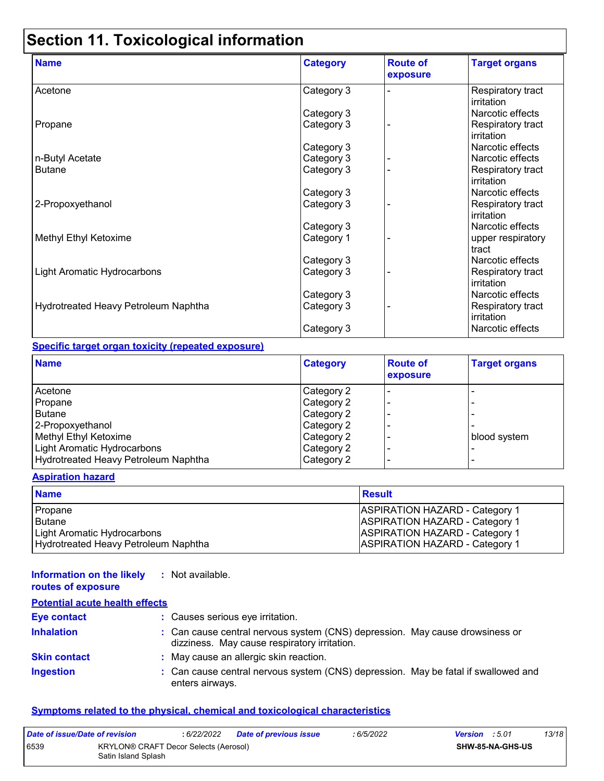# **Section 11. Toxicological information**

| <b>Name</b>                          | <b>Category</b> | <b>Route of</b><br>exposure | <b>Target organs</b>            |
|--------------------------------------|-----------------|-----------------------------|---------------------------------|
| Acetone                              | Category 3      |                             | Respiratory tract<br>irritation |
|                                      | Category 3      |                             | Narcotic effects                |
| Propane                              | Category 3      |                             | Respiratory tract<br>irritation |
|                                      | Category 3      |                             | Narcotic effects                |
| n-Butyl Acetate                      | Category 3      |                             | Narcotic effects                |
| <b>Butane</b>                        | Category 3      |                             | Respiratory tract<br>irritation |
|                                      | Category 3      |                             | Narcotic effects                |
| 2-Propoxyethanol                     | Category 3      |                             | Respiratory tract<br>irritation |
|                                      | Category 3      |                             | Narcotic effects                |
| Methyl Ethyl Ketoxime                | Category 1      |                             | upper respiratory<br>tract      |
|                                      | Category 3      |                             | Narcotic effects                |
| <b>Light Aromatic Hydrocarbons</b>   | Category 3      |                             | Respiratory tract<br>irritation |
|                                      | Category 3      |                             | Narcotic effects                |
| Hydrotreated Heavy Petroleum Naphtha | Category 3      |                             | Respiratory tract<br>irritation |
|                                      | Category 3      |                             | Narcotic effects                |

#### **Specific target organ toxicity (repeated exposure)**

| <b>Name</b>                          | Category   | <b>Route of</b><br>exposure | <b>Target organs</b> |
|--------------------------------------|------------|-----------------------------|----------------------|
| Acetone                              | Category 2 |                             |                      |
| Propane                              | Category 2 |                             |                      |
| <b>Butane</b>                        | Category 2 |                             |                      |
| 2-Propoxyethanol                     | Category 2 |                             |                      |
| Methyl Ethyl Ketoxime                | Category 2 |                             | blood system         |
| Light Aromatic Hydrocarbons          | Category 2 |                             |                      |
| Hydrotreated Heavy Petroleum Naphtha | Category 2 |                             |                      |

#### **Aspiration hazard**

| <b>Name</b>                          | <b>Result</b>                         |
|--------------------------------------|---------------------------------------|
| Propane                              | <b>ASPIRATION HAZARD - Category 1</b> |
| l Butane                             | <b>ASPIRATION HAZARD - Category 1</b> |
| Light Aromatic Hydrocarbons          | <b>ASPIRATION HAZARD - Category 1</b> |
| Hydrotreated Heavy Petroleum Naphtha | <b>ASPIRATION HAZARD - Category 1</b> |

#### **Information on the likely :** Not available. **routes of exposure**

| <b>Potential acute health effects</b> |                                                                                                                              |
|---------------------------------------|------------------------------------------------------------------------------------------------------------------------------|
| <b>Eye contact</b>                    | : Causes serious eye irritation.                                                                                             |
| <b>Inhalation</b>                     | : Can cause central nervous system (CNS) depression. May cause drowsiness or<br>dizziness. May cause respiratory irritation. |
| <b>Skin contact</b>                   | : May cause an allergic skin reaction.                                                                                       |
| <b>Ingestion</b>                      | : Can cause central nervous system (CNS) depression. May be fatal if swallowed and<br>enters airways.                        |

#### **Symptoms related to the physical, chemical and toxicological characteristics**

| Date of issue/Date of revision |                                                              | : 6/22/2022 | Date of previous issue | : 6/5/2022 | <b>Version</b> : 5.01 |                         | 13/18 |
|--------------------------------|--------------------------------------------------------------|-------------|------------------------|------------|-----------------------|-------------------------|-------|
| 6539                           | KRYLON® CRAFT Decor Selects (Aerosol)<br>Satin Island Splash |             |                        |            |                       | <b>SHW-85-NA-GHS-US</b> |       |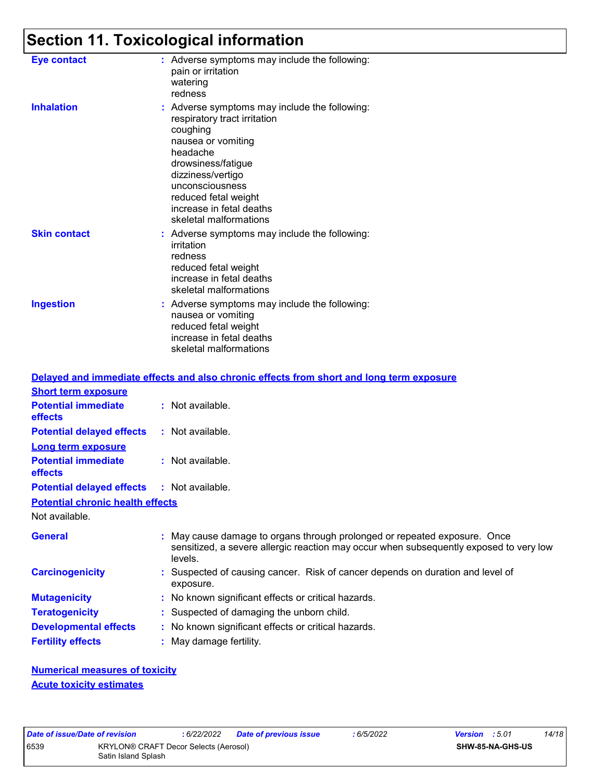# **Section 11. Toxicological information**

| <b>Eye contact</b>  | : Adverse symptoms may include the following:<br>pain or irritation<br>watering<br>redness                                                                                                                                                                              |
|---------------------|-------------------------------------------------------------------------------------------------------------------------------------------------------------------------------------------------------------------------------------------------------------------------|
| <b>Inhalation</b>   | : Adverse symptoms may include the following:<br>respiratory tract irritation<br>coughing<br>nausea or vomiting<br>headache<br>drowsiness/fatigue<br>dizziness/vertigo<br>unconsciousness<br>reduced fetal weight<br>increase in fetal deaths<br>skeletal malformations |
| <b>Skin contact</b> | : Adverse symptoms may include the following:<br>irritation<br>redness<br>reduced fetal weight<br>increase in fetal deaths<br>skeletal malformations                                                                                                                    |
| <b>Ingestion</b>    | : Adverse symptoms may include the following:<br>nausea or vomiting<br>reduced fetal weight<br>increase in fetal deaths<br>skeletal malformations                                                                                                                       |

|                                                   | Delayed and immediate effects and also chronic effects from short and long term exposure                                                                                       |
|---------------------------------------------------|--------------------------------------------------------------------------------------------------------------------------------------------------------------------------------|
| <b>Short term exposure</b>                        |                                                                                                                                                                                |
| <b>Potential immediate</b><br>effects             | $:$ Not available.                                                                                                                                                             |
| <b>Potential delayed effects</b>                  | : Not available.                                                                                                                                                               |
| <b>Long term exposure</b>                         |                                                                                                                                                                                |
| <b>Potential immediate</b><br><b>effects</b>      | $:$ Not available.                                                                                                                                                             |
| <b>Potential delayed effects : Not available.</b> |                                                                                                                                                                                |
| <b>Potential chronic health effects</b>           |                                                                                                                                                                                |
| Not available.                                    |                                                                                                                                                                                |
| <b>General</b>                                    | : May cause damage to organs through prolonged or repeated exposure. Once<br>sensitized, a severe allergic reaction may occur when subsequently exposed to very low<br>levels. |
| <b>Carcinogenicity</b>                            | : Suspected of causing cancer. Risk of cancer depends on duration and level of<br>exposure.                                                                                    |
| <b>Mutagenicity</b>                               | : No known significant effects or critical hazards.                                                                                                                            |
| <b>Teratogenicity</b>                             | : Suspected of damaging the unborn child.                                                                                                                                      |
| <b>Developmental effects</b>                      | : No known significant effects or critical hazards.                                                                                                                            |
| <b>Fertility effects</b>                          | : May damage fertility.                                                                                                                                                        |

**Numerical measures of toxicity Acute toxicity estimates**

|    | ite of issue/Date of revi |  |                   |  |
|----|---------------------------|--|-------------------|--|
| 39 |                           |  | <b>KRYL</b>       |  |
|    |                           |  | C <sub>ofin</sub> |  |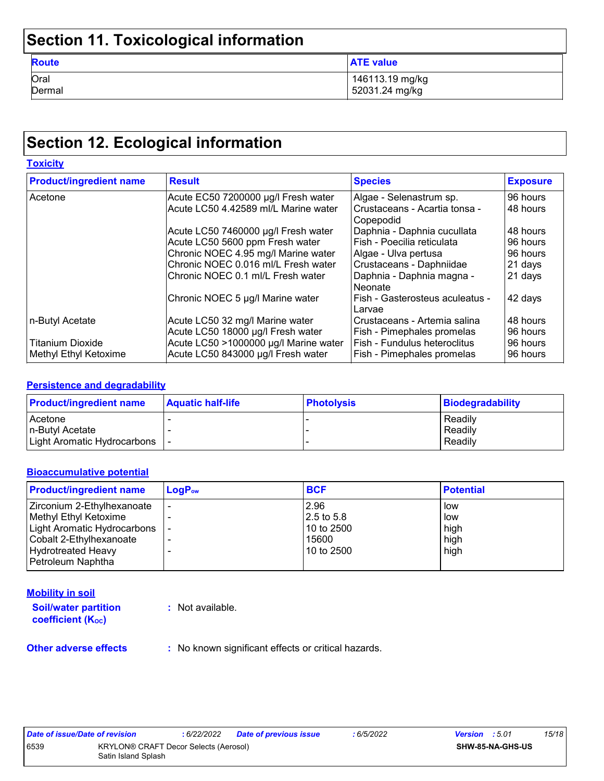# **Section 11. Toxicological information**

| <b>Route</b> | <b>ATE value</b> |
|--------------|------------------|
| Oral         | 146113.19 mg/kg  |
| Dermal       | 52031.24 mg/kg   |

## **Section 12. Ecological information**

| <b>Toxicity</b>                |                                       |                                                |                 |
|--------------------------------|---------------------------------------|------------------------------------------------|-----------------|
| <b>Product/ingredient name</b> | <b>Result</b>                         | <b>Species</b>                                 | <b>Exposure</b> |
| Acetone                        | Acute EC50 7200000 µg/l Fresh water   | Algae - Selenastrum sp.                        | 96 hours        |
|                                | Acute LC50 4.42589 ml/L Marine water  | l Crustaceans - Acartia tonsa -<br>l Copepodid | 48 hours        |
|                                | Acute LC50 7460000 µg/l Fresh water   | Daphnia - Daphnia cucullata                    | 48 hours        |
|                                | Acute LC50 5600 ppm Fresh water       | Fish - Poecilia reticulata                     | 96 hours        |
|                                | Chronic NOEC 4.95 mg/l Marine water   | Algae - Ulva pertusa                           | 96 hours        |
|                                | Chronic NOEC 0.016 ml/L Fresh water   | Crustaceans - Daphniidae                       | 21 days         |
|                                | Chronic NOEC 0.1 ml/L Fresh water     | Daphnia - Daphnia magna -<br>l Neonate         | 21 days         |
|                                | Chronic NOEC 5 µg/l Marine water      | Fish - Gasterosteus aculeatus -<br>Larvae      | 42 days         |
| n-Butyl Acetate                | Acute LC50 32 mg/l Marine water       | Crustaceans - Artemia salina                   | 48 hours        |
|                                | Acute LC50 18000 µg/l Fresh water     | Fish - Pimephales promelas                     | 96 hours        |
| <b>Titanium Dioxide</b>        | Acute LC50 >1000000 µg/l Marine water | Fish - Fundulus heteroclitus                   | 96 hours        |
| Methyl Ethyl Ketoxime          | Acute LC50 843000 µg/l Fresh water    | Fish - Pimephales promelas                     | 96 hours        |

#### **Persistence and degradability**

| <b>Product/ingredient name</b> | <b>Aquatic half-life</b> | <b>Photolysis</b> | <b>Biodegradability</b> |
|--------------------------------|--------------------------|-------------------|-------------------------|
| Acetone                        |                          |                   | Readily                 |
| In-Butvl Acetate               |                          |                   | Readily                 |
| Light Aromatic Hydrocarbons  - |                          |                   | Readily                 |

#### **Bioaccumulative potential**

| <b>Product/ingredient name</b> | $LogP_{ow}$ | <b>BCF</b> | <b>Potential</b> |
|--------------------------------|-------------|------------|------------------|
| Zirconium 2-Ethylhexanoate     |             | 2.96       | low              |
| Methyl Ethyl Ketoxime          |             | 2.5 to 5.8 | low              |
| Light Aromatic Hydrocarbons    |             | 10 to 2500 | high             |
| Cobalt 2-Ethylhexanoate        |             | 15600      | high             |
| <b>Hydrotreated Heavy</b>      |             | 10 to 2500 | high             |
| Petroleum Naphtha              |             |            |                  |

#### **Mobility in soil**

**Soil/water partition coefficient (KOC) :** Not available.

**Other adverse effects** : No known significant effects or critical hazards.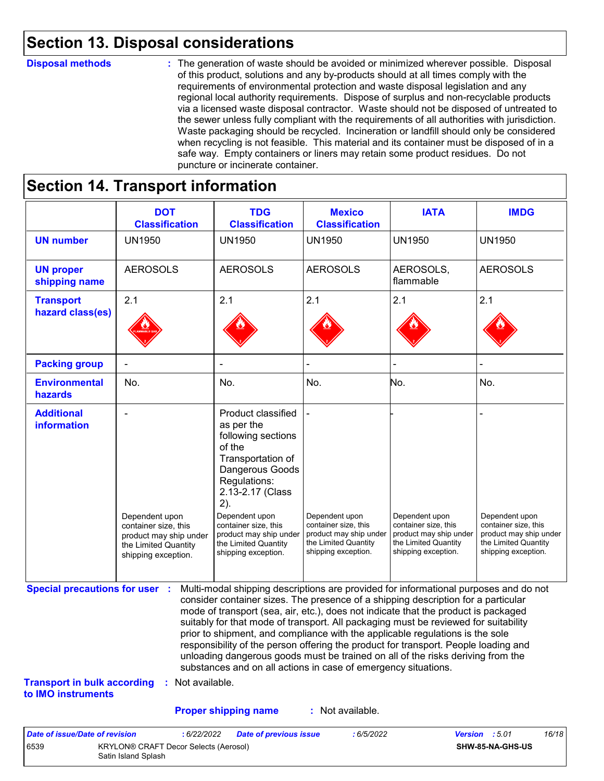### **Section 13. Disposal considerations**

#### **Disposal methods :**

The generation of waste should be avoided or minimized wherever possible. Disposal of this product, solutions and any by-products should at all times comply with the requirements of environmental protection and waste disposal legislation and any regional local authority requirements. Dispose of surplus and non-recyclable products via a licensed waste disposal contractor. Waste should not be disposed of untreated to the sewer unless fully compliant with the requirements of all authorities with jurisdiction. Waste packaging should be recycled. Incineration or landfill should only be considered when recycling is not feasible. This material and its container must be disposed of in a safe way. Empty containers or liners may retain some product residues. Do not puncture or incinerate container.

# **Section 14. Transport information**

6539 KRYLON® CRAFT Decor Selects (Aerosol) Satin Island Splash

|                                                                             | <b>DOT</b><br><b>Classification</b>                                                                             | <b>TDG</b><br><b>Classification</b>                                                                                                                                                                                                                                                                                                                                                                                                                                                                                                                                                                                                                                                 | <b>Mexico</b><br><b>Classification</b>                                                                          | <b>IATA</b>                                                                                                     | <b>IMDG</b>                                                                                                     |
|-----------------------------------------------------------------------------|-----------------------------------------------------------------------------------------------------------------|-------------------------------------------------------------------------------------------------------------------------------------------------------------------------------------------------------------------------------------------------------------------------------------------------------------------------------------------------------------------------------------------------------------------------------------------------------------------------------------------------------------------------------------------------------------------------------------------------------------------------------------------------------------------------------------|-----------------------------------------------------------------------------------------------------------------|-----------------------------------------------------------------------------------------------------------------|-----------------------------------------------------------------------------------------------------------------|
| <b>UN number</b>                                                            | <b>UN1950</b>                                                                                                   | <b>UN1950</b>                                                                                                                                                                                                                                                                                                                                                                                                                                                                                                                                                                                                                                                                       | <b>UN1950</b>                                                                                                   | <b>UN1950</b>                                                                                                   | <b>UN1950</b>                                                                                                   |
| <b>UN proper</b><br>shipping name                                           | <b>AEROSOLS</b>                                                                                                 | <b>AEROSOLS</b>                                                                                                                                                                                                                                                                                                                                                                                                                                                                                                                                                                                                                                                                     | <b>AEROSOLS</b>                                                                                                 | AEROSOLS,<br>flammable                                                                                          | <b>AEROSOLS</b>                                                                                                 |
| <b>Transport</b><br>hazard class(es)                                        | 2.1                                                                                                             | 2.1                                                                                                                                                                                                                                                                                                                                                                                                                                                                                                                                                                                                                                                                                 | 2.1                                                                                                             | 2.1                                                                                                             | 2.1                                                                                                             |
| <b>Packing group</b>                                                        |                                                                                                                 |                                                                                                                                                                                                                                                                                                                                                                                                                                                                                                                                                                                                                                                                                     |                                                                                                                 |                                                                                                                 |                                                                                                                 |
| <b>Environmental</b><br>hazards                                             | No.                                                                                                             | No.                                                                                                                                                                                                                                                                                                                                                                                                                                                                                                                                                                                                                                                                                 | No.                                                                                                             | No.                                                                                                             | No.                                                                                                             |
| <b>Additional</b><br>information                                            | Dependent upon<br>container size, this<br>product may ship under<br>the Limited Quantity<br>shipping exception. | Product classified<br>as per the<br>following sections<br>of the<br>Transportation of<br>Dangerous Goods<br>Regulations:<br>2.13-2.17 (Class<br>2).<br>Dependent upon<br>container size, this<br>product may ship under<br>the Limited Quantity<br>shipping exception.                                                                                                                                                                                                                                                                                                                                                                                                              | Dependent upon<br>container size, this<br>product may ship under<br>the Limited Quantity<br>shipping exception. | Dependent upon<br>container size, this<br>product may ship under<br>the Limited Quantity<br>shipping exception. | Dependent upon<br>container size, this<br>product may ship under<br>the Limited Quantity<br>shipping exception. |
| <b>Special precautions for user :</b><br><b>Transport in bulk according</b> | : Not available.                                                                                                | Multi-modal shipping descriptions are provided for informational purposes and do not<br>consider container sizes. The presence of a shipping description for a particular<br>mode of transport (sea, air, etc.), does not indicate that the product is packaged<br>suitably for that mode of transport. All packaging must be reviewed for suitability<br>prior to shipment, and compliance with the applicable regulations is the sole<br>responsibility of the person offering the product for transport. People loading and<br>unloading dangerous goods must be trained on all of the risks deriving from the<br>substances and on all actions in case of emergency situations. |                                                                                                                 |                                                                                                                 |                                                                                                                 |
| to IMO instruments                                                          |                                                                                                                 |                                                                                                                                                                                                                                                                                                                                                                                                                                                                                                                                                                                                                                                                                     |                                                                                                                 |                                                                                                                 |                                                                                                                 |
|                                                                             |                                                                                                                 | <b>Proper shipping name</b>                                                                                                                                                                                                                                                                                                                                                                                                                                                                                                                                                                                                                                                         | : Not available.                                                                                                |                                                                                                                 |                                                                                                                 |

**SHW-85-NA-GHS-US**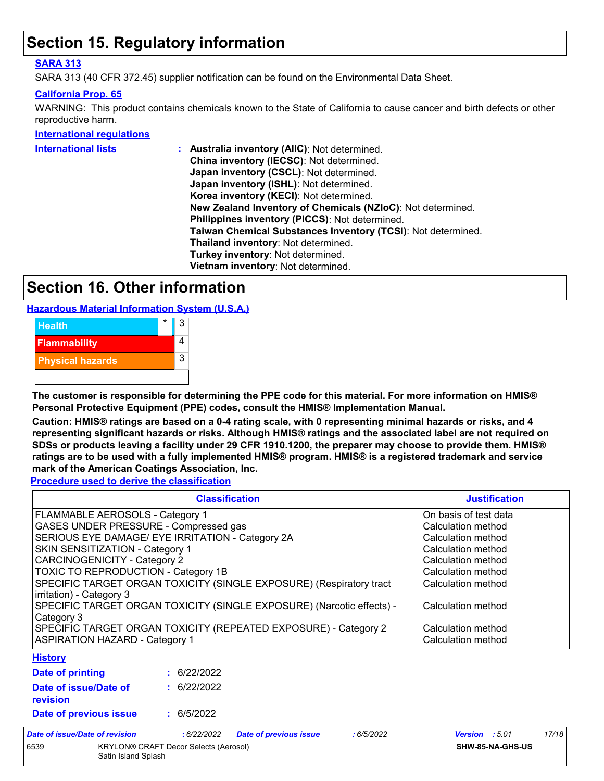### **Section 15. Regulatory information**

#### **SARA 313**

SARA 313 (40 CFR 372.45) supplier notification can be found on the Environmental Data Sheet.

#### **California Prop. 65**

WARNING: This product contains chemicals known to the State of California to cause cancer and birth defects or other reproductive harm.

#### **International regulations**

| <b>International lists</b> | Australia inventory (AIIC): Not determined.                  |
|----------------------------|--------------------------------------------------------------|
|                            | China inventory (IECSC): Not determined.                     |
|                            | Japan inventory (CSCL): Not determined.                      |
|                            | Japan inventory (ISHL): Not determined.                      |
|                            | Korea inventory (KECI): Not determined.                      |
|                            | New Zealand Inventory of Chemicals (NZIoC): Not determined.  |
|                            | Philippines inventory (PICCS): Not determined.               |
|                            | Taiwan Chemical Substances Inventory (TCSI): Not determined. |
|                            | Thailand inventory: Not determined.                          |
|                            | Turkey inventory: Not determined.                            |
|                            | Vietnam inventory: Not determined.                           |
|                            |                                                              |

### **Section 16. Other information**

**Hazardous Material Information System (U.S.A.)**



**The customer is responsible for determining the PPE code for this material. For more information on HMIS® Personal Protective Equipment (PPE) codes, consult the HMIS® Implementation Manual.**

**Caution: HMIS® ratings are based on a 0-4 rating scale, with 0 representing minimal hazards or risks, and 4 representing significant hazards or risks. Although HMIS® ratings and the associated label are not required on SDSs or products leaving a facility under 29 CFR 1910.1200, the preparer may choose to provide them. HMIS® ratings are to be used with a fully implemented HMIS® program. HMIS® is a registered trademark and service mark of the American Coatings Association, Inc.**

**Procedure used to derive the classification**

|                                                                                                 | <b>Justification</b> |                               |           |                       |       |
|-------------------------------------------------------------------------------------------------|----------------------|-------------------------------|-----------|-----------------------|-------|
| FLAMMABLE AEROSOLS - Category 1                                                                 |                      | On basis of test data         |           |                       |       |
| GASES UNDER PRESSURE - Compressed gas                                                           |                      |                               |           | Calculation method    |       |
| SERIOUS EYE DAMAGE/ EYE IRRITATION - Category 2A                                                |                      |                               |           | Calculation method    |       |
| SKIN SENSITIZATION - Category 1                                                                 |                      |                               |           | Calculation method    |       |
| CARCINOGENICITY - Category 2                                                                    |                      |                               |           | Calculation method    |       |
| TOXIC TO REPRODUCTION - Category 1B                                                             |                      |                               |           | Calculation method    |       |
| SPECIFIC TARGET ORGAN TOXICITY (SINGLE EXPOSURE) (Respiratory tract<br>irritation) - Category 3 |                      |                               |           | Calculation method    |       |
| SPECIFIC TARGET ORGAN TOXICITY (SINGLE EXPOSURE) (Narcotic effects) -<br>Category 3             |                      |                               |           | Calculation method    |       |
| SPECIFIC TARGET ORGAN TOXICITY (REPEATED EXPOSURE) - Category 2                                 |                      |                               |           | Calculation method    |       |
| <b>ASPIRATION HAZARD - Category 1</b>                                                           |                      |                               |           | Calculation method    |       |
| <b>History</b>                                                                                  |                      |                               |           |                       |       |
| Date of printing                                                                                | : 6/22/2022          |                               |           |                       |       |
| Date of issue/Date of<br>revision                                                               | : 6/22/2022          |                               |           |                       |       |
| Date of previous issue                                                                          | : 6/5/2022           |                               |           |                       |       |
| Date of issue/Date of revision                                                                  | :6/22/2022           | <b>Date of previous issue</b> | :6/5/2022 | <b>Version</b> : 5.01 | 17/18 |